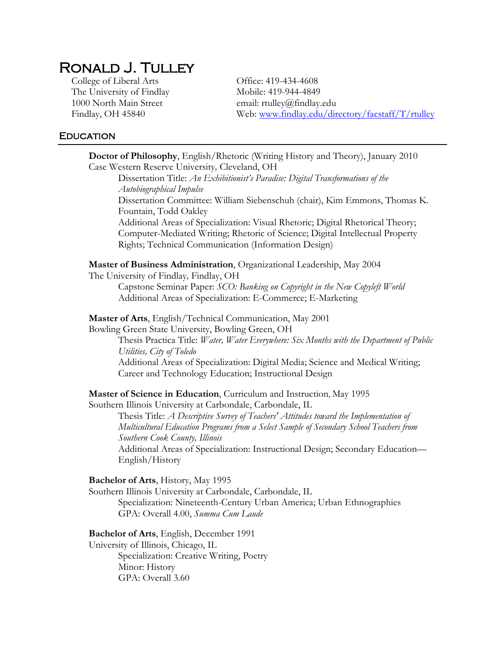# Ronald J. Tulley

The University of Findlay Mobile: 419-944-4849 1000 North Main Street email: rtulley@findlay.edu

College of Liberal Arts Office: 419-434-4608 Findlay, OH 45840 Web: [www.findlay.edu/directory/facstaff/T/rtulley](http://www.findlay.edu/directory/facstaff/T/rtulley)

## **EDUCATION**

| Doctor of Philosophy, English/Rhetoric (Writing History and Theory), January 2010<br>Case Western Reserve University, Cleveland, OH<br>Dissertation Title: An Exhibitionist's Paradise: Digital Transformations of the<br><b>Autobiographical Impulse</b><br>Dissertation Committee: William Siebenschuh (chair), Kim Emmons, Thomas K.<br>Fountain, Todd Oakley<br>Additional Areas of Specialization: Visual Rhetoric; Digital Rhetorical Theory;            |  |  |
|----------------------------------------------------------------------------------------------------------------------------------------------------------------------------------------------------------------------------------------------------------------------------------------------------------------------------------------------------------------------------------------------------------------------------------------------------------------|--|--|
| Computer-Mediated Writing; Rhetoric of Science; Digital Intellectual Property<br>Rights; Technical Communication (Information Design)                                                                                                                                                                                                                                                                                                                          |  |  |
| Master of Business Administration, Organizational Leadership, May 2004<br>The University of Findlay, Findlay, OH<br>Capstone Seminar Paper: SCO: Banking on Copyright in the New Copyleft World<br>Additional Areas of Specialization: E-Commerce; E-Marketing                                                                                                                                                                                                 |  |  |
| Master of Arts, English/Technical Communication, May 2001<br>Bowling Green State University, Bowling Green, OH<br>Thesis Practica Title: Water, Water Everywhere: Six Months with the Department of Public<br>Utilities, City of Toledo<br>Additional Areas of Specialization: Digital Media; Science and Medical Writing;<br>Career and Technology Education; Instructional Design                                                                            |  |  |
| Master of Science in Education, Curriculum and Instruction, May 1995<br>Southern Illinois University at Carbondale, Carbondale, IL<br>Thesis Title: A Descriptive Survey of Teachers' Attitudes toward the Implementation of<br>Multicultural Education Programs from a Select Sample of Secondary School Teachers from<br>Southern Cook County, Illinois<br>Additional Areas of Specialization: Instructional Design; Secondary Education-<br>English/History |  |  |
| Bachelor of Arts, History, May 1995<br>Southern Illinois University at Carbondale, Carbondale, IL<br>Specialization: Nineteenth-Century Urban America; Urban Ethnographies<br>GPA: Overall 4.00, Summa Cum Laude                                                                                                                                                                                                                                               |  |  |
| Bachelor of Arts, English, December 1991<br>University of Illinois, Chicago, IL<br>Specialization: Creative Writing, Poetry<br>Minor: History                                                                                                                                                                                                                                                                                                                  |  |  |

GPA: Overall 3.60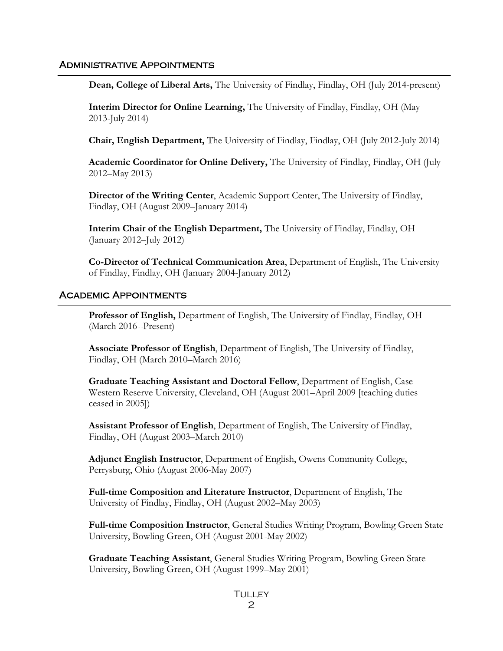### Administrative Appointments

**Dean, College of Liberal Arts,** The University of Findlay, Findlay, OH (July 2014-present)

**Interim Director for Online Learning,** The University of Findlay, Findlay, OH (May 2013-July 2014)

**Chair, English Department,** The University of Findlay, Findlay, OH (July 2012-July 2014)

**Academic Coordinator for Online Delivery,** The University of Findlay, Findlay, OH (July 2012–May 2013)

**Director of the Writing Center**, Academic Support Center, The University of Findlay, Findlay, OH (August 2009–January 2014)

**Interim Chair of the English Department,** The University of Findlay, Findlay, OH (January 2012–July 2012)

**Co-Director of Technical Communication Area**, Department of English, The University of Findlay, Findlay, OH (January 2004-January 2012)

#### Academic Appointments

**Professor of English,** Department of English, The University of Findlay, Findlay, OH (March 2016--Present)

**Associate Professor of English**, Department of English, The University of Findlay, Findlay, OH (March 2010–March 2016)

**Graduate Teaching Assistant and Doctoral Fellow**, Department of English, Case Western Reserve University, Cleveland, OH (August 2001–April 2009 [teaching duties ceased in 2005])

**Assistant Professor of English**, Department of English, The University of Findlay, Findlay, OH (August 2003–March 2010)

**Adjunct English Instructor**, Department of English, Owens Community College, Perrysburg, Ohio (August 2006-May 2007)

**Full-time Composition and Literature Instructor**, Department of English, The University of Findlay, Findlay, OH (August 2002–May 2003)

**Full-time Composition Instructor**, General Studies Writing Program, Bowling Green State University, Bowling Green, OH (August 2001-May 2002)

**Graduate Teaching Assistant**, General Studies Writing Program, Bowling Green State University, Bowling Green, OH (August 1999–May 2001)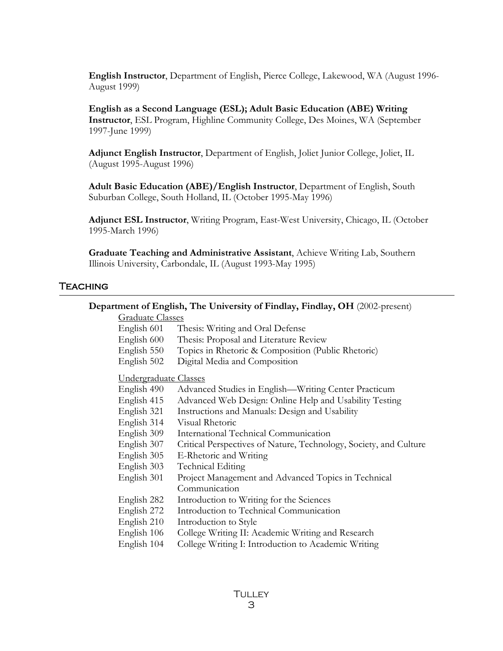**English Instructor**, Department of English, Pierce College, Lakewood, WA (August 1996- August 1999)

**English as a Second Language (ESL); Adult Basic Education (ABE) Writing Instructor**, ESL Program, Highline Community College, Des Moines, WA (September 1997-June 1999)

**Adjunct English Instructor**, Department of English, Joliet Junior College, Joliet, IL (August 1995-August 1996)

**Adult Basic Education (ABE)/English Instructor**, Department of English, South Suburban College, South Holland, IL (October 1995-May 1996)

**Adjunct ESL Instructor**, Writing Program, East-West University, Chicago, IL (October 1995-March 1996)

**Graduate Teaching and Administrative Assistant**, Achieve Writing Lab, Southern Illinois University, Carbondale, IL (August 1993-May 1995)

## Teaching

#### **Department of English, The University of Findlay, Findlay, OH** (2002-present)

## Graduate Classes

- English 601 Thesis: Writing and Oral Defense
- English 600 Thesis: Proposal and Literature Review
- English 550 Topics in Rhetoric & Composition (Public Rhetoric)
- English 502 Digital Media and Composition

#### Undergraduate Classes

- English 490 Advanced Studies in English—Writing Center Practicum
- English 415 Advanced Web Design: Online Help and Usability Testing
- English 321 Instructions and Manuals: Design and Usability
- English 314 Visual Rhetoric
- English 309 International Technical Communication
- English 307 Critical Perspectives of Nature, Technology, Society, and Culture
- English 305 E-Rhetoric and Writing
- English 303 Technical Editing
- English 301 Project Management and Advanced Topics in Technical Communication
- English 282 Introduction to Writing for the Sciences
- English 272 Introduction to Technical Communication
- English 210 Introduction to Style
- English 106 College Writing II: Academic Writing and Research
- English 104 College Writing I: Introduction to Academic Writing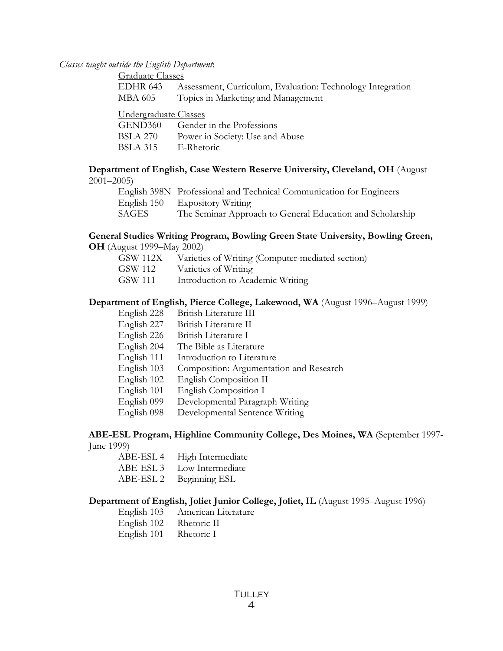*Classes taught outside the English Department*:

| <b>Graduate Classes</b> |                                                            |  |
|-------------------------|------------------------------------------------------------|--|
| EDHR 643                | Assessment, Curriculum, Evaluation: Technology Integration |  |
| MBA 605                 | Topics in Marketing and Management                         |  |
| Undergraduate Classes   |                                                            |  |
| GEND360                 | Gender in the Professions                                  |  |
| <b>BSLA 270</b>         | Power in Society: Use and Abuse                            |  |
| <b>BSLA 315</b>         | E-Rhetoric                                                 |  |

## **Department of English, Case Western Reserve University, Cleveland, OH** (August

|       | English 398N Professional and Technical Communication for Engineers |
|-------|---------------------------------------------------------------------|
|       | English 150 Expository Writing                                      |
| SAGES | The Seminar Approach to General Education and Scholarship           |

## **General Studies Writing Program, Bowling Green State University, Bowling Green,**

- **OH** (August 1999–May 2002)
	- GSW 112X Varieties of Writing (Computer-mediated section)
	- GSW 112 Varieties of Writing
	- GSW 111 Introduction to Academic Writing

#### **Department of English, Pierce College, Lakewood, WA** (August 1996–August 1999)

- English 228 British Literature III
- English 227 British Literature II
- English 226 British Literature I
- English 204 The Bible as Literature
- English 111 Introduction to Literature
- English 103 Composition: Argumentation and Research
- English 102 English Composition II
- English 101 English Composition I
- English 099 Developmental Paragraph Writing
- English 098 Developmental Sentence Writing

#### **ABE-ESL Program, Highline Community College, Des Moines, WA** (September 1997- June 1999)

- - ABE-ESL 4 High Intermediate
	- ABE-ESL 3 Low Intermediate
	- ABE-ESL 2 Beginning ESL

### **Department of English, Joliet Junior College, Joliet, IL** (August 1995–August 1996)

- English 103 American Literature
- English 102 Rhetoric II
- English 101 Rhetoric I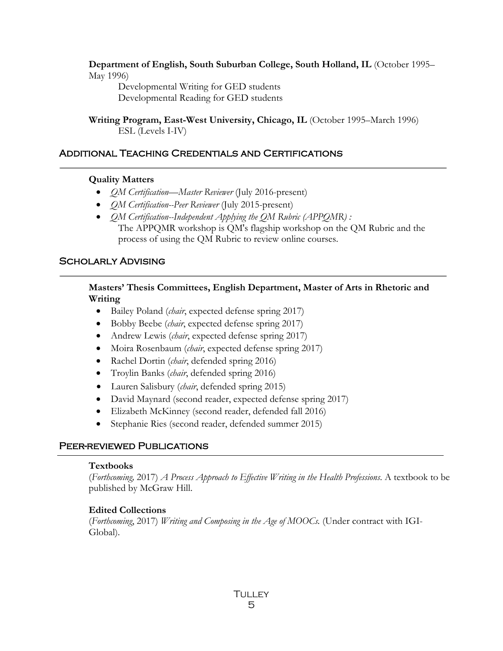**Department of English, South Suburban College, South Holland, IL** (October 1995– May 1996)

Developmental Writing for GED students Developmental Reading for GED students

**Writing Program, East-West University, Chicago, IL** (October 1995–March 1996) ESL (Levels I-IV)

## Additional Teaching Credentials and Certifications

## **Quality Matters**

- *QM Certification—Master Reviewer* (July 2016-present)
- *QM Certification--Peer Reviewer* (July 2015-present)
- *QM Certification--Independent Applying the QM Rubric (APPQMR)*: The APPQMR workshop is QM's flagship workshop on the QM Rubric and the process of using the QM Rubric to review online courses.

## SCHOLARLY ADVISING

**Masters' Thesis Committees, English Department, Master of Arts in Rhetoric and Writing**

- Bailey Poland (*chair*, expected defense spring 2017)
- Bobby Beebe (*chair*, expected defense spring 2017)
- Andrew Lewis *(chair*, expected defense spring 2017)
- Moira Rosenbaum (*chair*, expected defense spring 2017)
- Rachel Dortin (*chair*, defended spring 2016)
- Troylin Banks (*chair*, defended spring 2016)
- Lauren Salisbury (*chair*, defended spring 2015)
- David Maynard (second reader, expected defense spring 2017)
- Elizabeth McKinney (second reader, defended fall 2016)
- Stephanie Ries (second reader, defended summer 2015)

## PEER-REVIEWED PUBLICATIONS

### **Textbooks**

(*Forthcoming,* 2017) *A Process Approach to Effective Writing in the Health Professions*. A textbook to be published by McGraw Hill.

## **Edited Collections**

(*Forthcoming*, 2017) *Writing and Composing in the Age of MOOCs.* (Under contract with IGI-Global).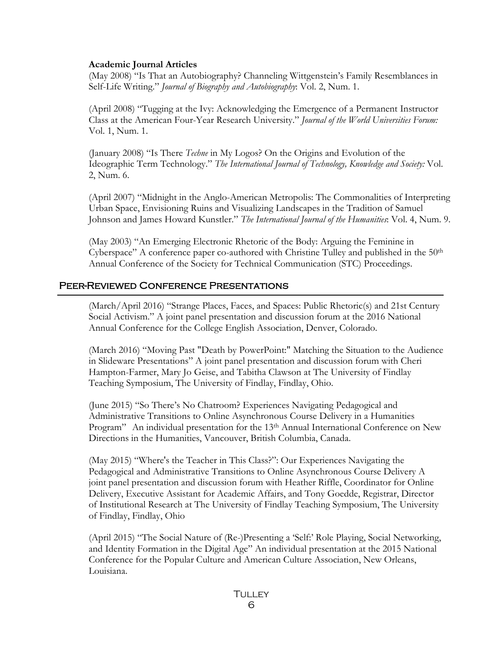#### **Academic Journal Articles**

(May 2008) "Is That an Autobiography? Channeling Wittgenstein's Family Resemblances in Self-Life Writing." *Journal of Biography and Autobiography*: Vol. 2, Num. 1.

(April 2008) "Tugging at the Ivy: Acknowledging the Emergence of a Permanent Instructor Class at the American Four-Year Research University." *Journal of the World Universities Forum:*  Vol. 1, Num. 1.

(January 2008) "Is There *Techne* in My Logos? On the Origins and Evolution of the Ideographic Term Technology." *The International Journal of Technology, Knowledge and Society:* Vol. 2, Num. 6.

(April 2007) "Midnight in the Anglo-American Metropolis: The Commonalities of Interpreting Urban Space, Envisioning Ruins and Visualizing Landscapes in the Tradition of Samuel Johnson and James Howard Kunstler." *The International Journal of the Humanities*: Vol. 4, Num. 9.

(May 2003) "An Emerging Electronic Rhetoric of the Body: Arguing the Feminine in Cyberspace" A conference paper co-authored with Christine Tulley and published in the  $50<sup>th</sup>$ Annual Conference of the Society for Technical Communication (STC) Proceedings.

## Peer-Reviewed Conference Presentations

(March/April 2016) "Strange Places, Faces, and Spaces: Public Rhetoric(s) and 21st Century Social Activism." A joint panel presentation and discussion forum at the 2016 National Annual Conference for the College English Association, Denver, Colorado.

(March 2016) "Moving Past "Death by PowerPoint:" Matching the Situation to the Audience in Slideware Presentations" A joint panel presentation and discussion forum with Cheri Hampton-Farmer, Mary Jo Geise, and Tabitha Clawson at The University of Findlay Teaching Symposium, The University of Findlay, Findlay, Ohio.

(June 2015) "So There's No Chatroom? Experiences Navigating Pedagogical and Administrative Transitions to Online Asynchronous Course Delivery in a Humanities Program" An individual presentation for the 13<sup>th</sup> Annual International Conference on New Directions in the Humanities, Vancouver, British Columbia, Canada.

(May 2015) "Where's the Teacher in This Class?": Our Experiences Navigating the Pedagogical and Administrative Transitions to Online Asynchronous Course Delivery A joint panel presentation and discussion forum with Heather Riffle, Coordinator for Online Delivery, Executive Assistant for Academic Affairs, and Tony Goedde, Registrar, Director of Institutional Research at The University of Findlay Teaching Symposium, The University of Findlay, Findlay, Ohio

(April 2015) "The Social Nature of (Re-)Presenting a 'Self:' Role Playing, Social Networking, and Identity Formation in the Digital Age" An individual presentation at the 2015 National Conference for the Popular Culture and American Culture Association, New Orleans, Louisiana.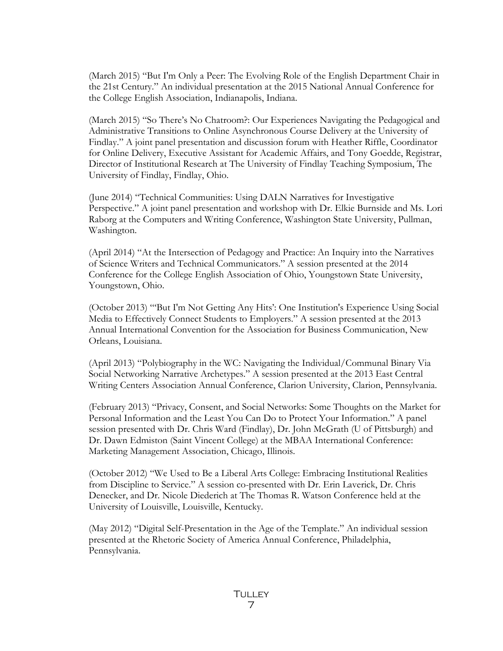(March 2015) "But I'm Only a Peer: The Evolving Role of the English Department Chair in the 21st Century." An individual presentation at the 2015 National Annual Conference for the College English Association, Indianapolis, Indiana.

(March 2015) "So There's No Chatroom?: Our Experiences Navigating the Pedagogical and Administrative Transitions to Online Asynchronous Course Delivery at the University of Findlay." A joint panel presentation and discussion forum with Heather Riffle, Coordinator for Online Delivery, Executive Assistant for Academic Affairs, and Tony Goedde, Registrar, Director of Institutional Research at The University of Findlay Teaching Symposium, The University of Findlay, Findlay, Ohio.

(June 2014) "Technical Communities: Using DALN Narratives for Investigative Perspective." A joint panel presentation and workshop with Dr. Elkie Burnside and Ms. Lori Raborg at the Computers and Writing Conference, Washington State University, Pullman, Washington.

(April 2014) "At the Intersection of Pedagogy and Practice: An Inquiry into the Narratives of Science Writers and Technical Communicators." A session presented at the 2014 Conference for the College English Association of Ohio, Youngstown State University, Youngstown, Ohio.

(October 2013) "'But I'm Not Getting Any Hits': One Institution's Experience Using Social Media to Effectively Connect Students to Employers." A session presented at the 2013 Annual International Convention for the Association for Business Communication, New Orleans, Louisiana.

(April 2013) "Polybiography in the WC: Navigating the Individual/Communal Binary Via Social Networking Narrative Archetypes." A session presented at the 2013 East Central Writing Centers Association Annual Conference, Clarion University, Clarion, Pennsylvania.

(February 2013) "Privacy, Consent, and Social Networks: Some Thoughts on the Market for Personal Information and the Least You Can Do to Protect Your Information." A panel session presented with Dr. Chris Ward (Findlay), Dr. John McGrath (U of Pittsburgh) and Dr. Dawn Edmiston (Saint Vincent College) at the MBAA International Conference: Marketing Management Association, Chicago, Illinois.

(October 2012) "We Used to Be a Liberal Arts College: Embracing Institutional Realities from Discipline to Service." A session co-presented with Dr. Erin Laverick, Dr. Chris Denecker, and Dr. Nicole Diederich at The Thomas R. Watson Conference held at the University of Louisville, Louisville, Kentucky.

(May 2012) "Digital Self-Presentation in the Age of the Template." An individual session presented at the Rhetoric Society of America Annual Conference, Philadelphia, Pennsylvania.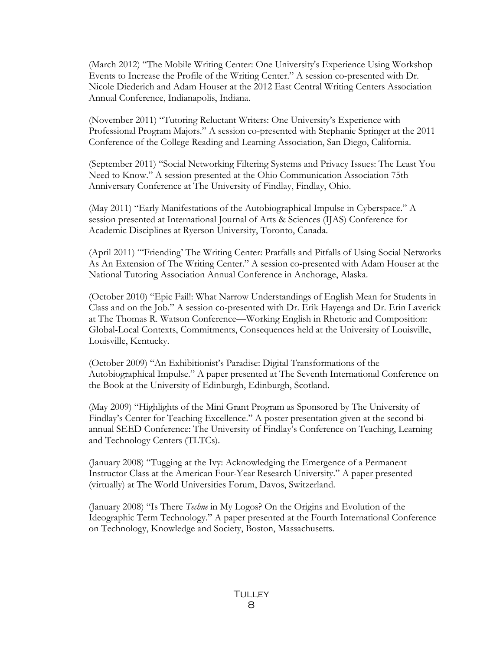(March 2012) "The Mobile Writing Center: One University's Experience Using Workshop Events to Increase the Profile of the Writing Center." A session co-presented with Dr. Nicole Diederich and Adam Houser at the 2012 East Central Writing Centers Association Annual Conference, Indianapolis, Indiana.

(November 2011) "Tutoring Reluctant Writers: One University's Experience with Professional Program Majors." A session co-presented with Stephanie Springer at the 2011 Conference of the College Reading and Learning Association, San Diego, California.

(September 2011) "Social Networking Filtering Systems and Privacy Issues: The Least You Need to Know." A session presented at the Ohio Communication Association 75th Anniversary Conference at The University of Findlay, Findlay, Ohio.

(May 2011) "Early Manifestations of the Autobiographical Impulse in Cyberspace." A session presented at International Journal of Arts & Sciences (IJAS) Conference for Academic Disciplines at Ryerson University, Toronto, Canada.

(April 2011) "'Friending' The Writing Center: Pratfalls and Pitfalls of Using Social Networks As An Extension of The Writing Center." A session co-presented with Adam Houser at the National Tutoring Association Annual Conference in Anchorage, Alaska.

(October 2010) "Epic Fail!: What Narrow Understandings of English Mean for Students in Class and on the Job." A session co-presented with Dr. Erik Hayenga and Dr. Erin Laverick at The Thomas R. Watson Conference—Working English in Rhetoric and Composition: Global-Local Contexts, Commitments, Consequences held at the University of Louisville, Louisville, Kentucky.

(October 2009) "An Exhibitionist's Paradise: Digital Transformations of the Autobiographical Impulse." A paper presented at The Seventh International Conference on the Book at the University of Edinburgh, Edinburgh, Scotland.

(May 2009) "Highlights of the Mini Grant Program as Sponsored by The University of Findlay's Center for Teaching Excellence." A poster presentation given at the second biannual SEED Conference: The University of Findlay's Conference on Teaching, Learning and Technology Centers (TLTCs).

(January 2008) "Tugging at the Ivy: Acknowledging the Emergence of a Permanent Instructor Class at the American Four-Year Research University." A paper presented (virtually) at The World Universities Forum, Davos, Switzerland.

(January 2008) "Is There *Techne* in My Logos? On the Origins and Evolution of the Ideographic Term Technology." A paper presented at the Fourth International Conference on Technology, Knowledge and Society, Boston, Massachusetts.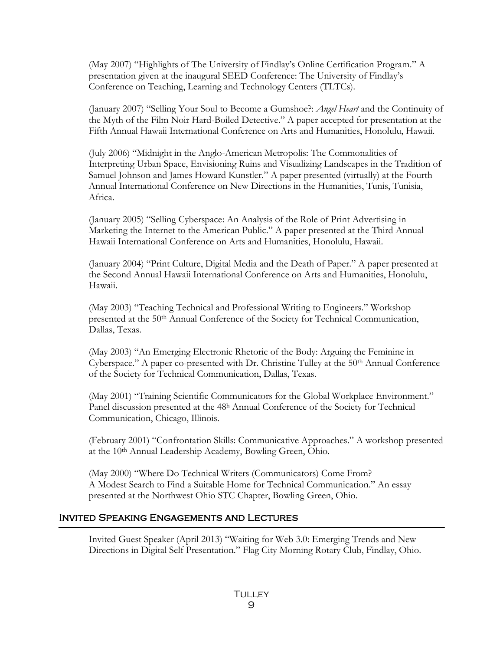(May 2007) "Highlights of The University of Findlay's Online Certification Program." A presentation given at the inaugural SEED Conference: The University of Findlay's Conference on Teaching, Learning and Technology Centers (TLTCs).

(January 2007) "Selling Your Soul to Become a Gumshoe?: *Angel Heart* and the Continuity of the Myth of the Film Noir Hard-Boiled Detective." A paper accepted for presentation at the Fifth Annual Hawaii International Conference on Arts and Humanities, Honolulu, Hawaii.

(July 2006) "Midnight in the Anglo-American Metropolis: The Commonalities of Interpreting Urban Space, Envisioning Ruins and Visualizing Landscapes in the Tradition of Samuel Johnson and James Howard Kunstler." A paper presented (virtually) at the Fourth Annual International Conference on New Directions in the Humanities, Tunis, Tunisia, Africa.

(January 2005) "Selling Cyberspace: An Analysis of the Role of Print Advertising in Marketing the Internet to the American Public." A paper presented at the Third Annual Hawaii International Conference on Arts and Humanities, Honolulu, Hawaii.

(January 2004) "Print Culture, Digital Media and the Death of Paper." A paper presented at the Second Annual Hawaii International Conference on Arts and Humanities, Honolulu, Hawaii.

(May 2003) "Teaching Technical and Professional Writing to Engineers." Workshop presented at the 50th Annual Conference of the Society for Technical Communication, Dallas, Texas.

(May 2003) "An Emerging Electronic Rhetoric of the Body: Arguing the Feminine in Cyberspace." A paper co-presented with Dr. Christine Tulley at the 50<sup>th</sup> Annual Conference of the Society for Technical Communication, Dallas, Texas.

(May 2001) "Training Scientific Communicators for the Global Workplace Environment." Panel discussion presented at the 48h Annual Conference of the Society for Technical Communication, Chicago, Illinois.

(February 2001) "Confrontation Skills: Communicative Approaches." A workshop presented at the 10th Annual Leadership Academy, Bowling Green, Ohio.

(May 2000) "Where Do Technical Writers (Communicators) Come From? A Modest Search to Find a Suitable Home for Technical Communication." An essay presented at the Northwest Ohio STC Chapter, Bowling Green, Ohio.

## Invited Speaking Engagements and Lectures

j

Invited Guest Speaker (April 2013) "Waiting for Web 3.0: Emerging Trends and New Directions in Digital Self Presentation." Flag City Morning Rotary Club, Findlay, Ohio.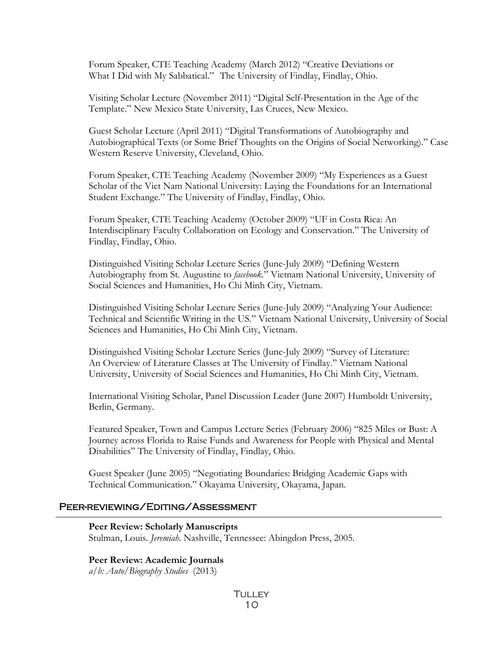Forum Speaker, CTE Teaching Academy (March 2012) "Creative Deviations or What I Did with My Sabbatical." The University of Findlay, Findlay, Ohio.

Visiting Scholar Lecture (November 2011) "Digital Self-Presentation in the Age of the Template." New Mexico State University, Las Cruces, New Mexico.

Guest Scholar Lecture (April 2011) "Digital Transformations of Autobiography and Autobiographical Texts (or Some Brief Thoughts on the Origins of Social Networking)." Case Western Reserve University, Cleveland, Ohio.

Forum Speaker, CTE Teaching Academy (November 2009) "My Experiences as a Guest Scholar of the Viet Nam National University: Laying the Foundations for an International Student Exchange." The University of Findlay, Findlay, Ohio.

Forum Speaker, CTE Teaching Academy (October 2009) "UF in Costa Rica: An Interdisciplinary Faculty Collaboration on Ecology and Conservation." The University of Findlay, Findlay, Ohio.

Distinguished Visiting Scholar Lecture Series (June-July 2009) "Defining Western Autobiography from St. Augustine to *facebook.*" Vietnam National University, University of Social Sciences and Humanities, Ho Chi Minh City, Vietnam.

Distinguished Visiting Scholar Lecture Series (June-July 2009) "Analyzing Your Audience: Technical and Scientific Writing in the US." Vietnam National University, University of Social Sciences and Humanities, Ho Chi Minh City, Vietnam.

Distinguished Visiting Scholar Lecture Series (June-July 2009) "Survey of Literature: An Overview of Literature Classes at The University of Findlay." Vietnam National University, University of Social Sciences and Humanities, Ho Chi Minh City, Vietnam.

International Visiting Scholar, Panel Discussion Leader (June 2007) Humboldt University, Berlin, Germany.

Featured Speaker, Town and Campus Lecture Series (February 2006) "825 Miles or Bust: A Journey across Florida to Raise Funds and Awareness for People with Physical and Mental Disabilities" The University of Findlay, Findlay, Ohio.

Guest Speaker (June 2005) "Negotiating Boundaries: Bridging Academic Gaps with Technical Communication." Okayama University, Okayama, Japan.

#### Peer-reviewing/Editing/Assessment

**Peer Review: Scholarly Manuscripts**

Stulman, Louis. *Jeremiah*. Nashville, Tennessee: Abingdon Press, 2005.

#### **Peer Review: Academic Journals**

*a/b: Auto/Biography Studies* (2013)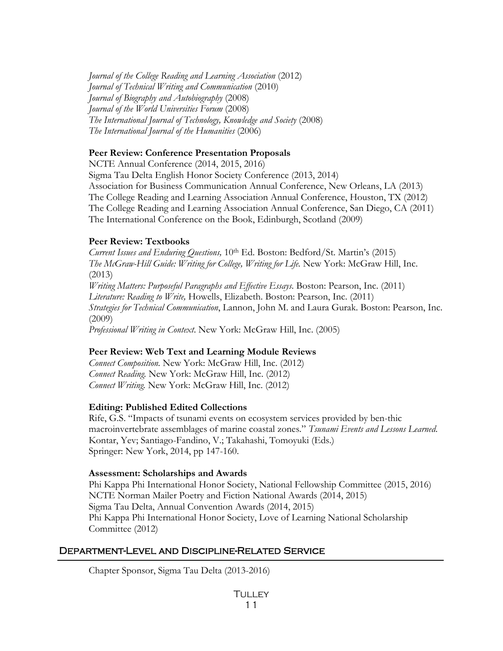*Journal of the College Reading and Learning Association* (2012) *Journal of Technical Writing and Communication* (2010) *Journal of Biography and Autobiography* (2008) *Journal of the World Universities Forum* (2008) *The International Journal of Technology, Knowledge and Society* (2008) *The International Journal of the Humanities* (2006)

## **Peer Review: Conference Presentation Proposals**

NCTE Annual Conference (2014, 2015, 2016) Sigma Tau Delta English Honor Society Conference (2013, 2014) Association for Business Communication Annual Conference, New Orleans, LA (2013) The College Reading and Learning Association Annual Conference, Houston, TX (2012) The College Reading and Learning Association Annual Conference, San Diego, CA (2011) The International Conference on the Book, Edinburgh, Scotland (2009)

## **Peer Review: Textbooks**

*Current Issues and Enduring Questions,* 10th Ed. Boston: Bedford/St. Martin's (2015) *The McGraw-Hill Guide: Writing for College, Writing for Life.* New York: McGraw Hill, Inc. (2013) *Writing Matters: Purposeful Paragraphs and Effective Essays*. Boston: Pearson, Inc. (2011) *Literature: Reading to Write,* Howells, Elizabeth. Boston: Pearson, Inc. (2011) *Strategies for Technical Communication*, Lannon, John M. and Laura Gurak. Boston: Pearson, Inc. (2009) *Professional Writing in Context*. New York: McGraw Hill, Inc. (2005)

## **Peer Review: Web Text and Learning Module Reviews**

*Connect Composition.* New York: McGraw Hill, Inc. (2012) *Connect Reading.* New York: McGraw Hill, Inc. (2012) *Connect Writing.* New York: McGraw Hill, Inc. (2012)

## **Editing: Published Edited Collections**

Rife, G.S. "Impacts of tsunami events on ecosystem services provided by ben-thic macroinvertebrate assemblages of marine coastal zones." *Tsunami Events and Lessons Learned*. Kontar, Yev; Santiago-Fandino, V.; Takahashi, Tomoyuki (Eds.) Springer: New York, 2014, pp 147-160.

### **Assessment: Scholarships and Awards**

Phi Kappa Phi International Honor Society, National Fellowship Committee (2015, 2016) NCTE Norman Mailer Poetry and Fiction National Awards (2014, 2015) Sigma Tau Delta, Annual Convention Awards (2014, 2015) Phi Kappa Phi International Honor Society, Love of Learning National Scholarship Committee (2012)

## Department-Level and Discipline-Related Service

Chapter Sponsor, Sigma Tau Delta (2013-2016)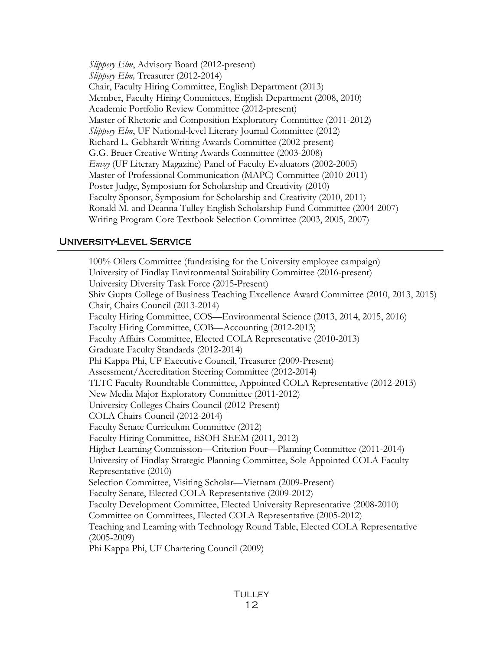*Slippery Elm*, Advisory Board (2012-present) *Slippery Elm*, Treasurer (2012-2014) Chair, Faculty Hiring Committee, English Department (2013) Member, Faculty Hiring Committees, English Department (2008, 2010) Academic Portfolio Review Committee (2012-present) Master of Rhetoric and Composition Exploratory Committee (2011-2012) *Slippery Elm*, UF National-level Literary Journal Committee (2012) Richard L. Gebhardt Writing Awards Committee (2002-present) G.G. Bruer Creative Writing Awards Committee (2003-2008) *Envoy* (UF Literary Magazine) Panel of Faculty Evaluators (2002-2005) Master of Professional Communication (MAPC) Committee (2010-2011) Poster Judge, Symposium for Scholarship and Creativity (2010) Faculty Sponsor, Symposium for Scholarship and Creativity (2010, 2011) Ronald M. and Deanna Tulley English Scholarship Fund Committee (2004-2007) Writing Program Core Textbook Selection Committee (2003, 2005, 2007)

## University-Level Service

100% Oilers Committee (fundraising for the University employee campaign) University of Findlay Environmental Suitability Committee (2016-present) University Diversity Task Force (2015-Present) Shiv Gupta College of Business Teaching Excellence Award Committee (2010, 2013, 2015) Chair, Chairs Council (2013-2014) Faculty Hiring Committee, COS—Environmental Science (2013, 2014, 2015, 2016) Faculty Hiring Committee, COB—Accounting (2012-2013) Faculty Affairs Committee, Elected COLA Representative (2010-2013) Graduate Faculty Standards (2012-2014) Phi Kappa Phi, UF Executive Council, Treasurer (2009-Present) Assessment/Accreditation Steering Committee (2012-2014) TLTC Faculty Roundtable Committee, Appointed COLA Representative (2012-2013) New Media Major Exploratory Committee (2011-2012) University Colleges Chairs Council (2012-Present) COLA Chairs Council (2012-2014) Faculty Senate Curriculum Committee (2012) Faculty Hiring Committee, ESOH-SEEM (2011, 2012) Higher Learning Commission—Criterion Four—Planning Committee (2011-2014) University of Findlay Strategic Planning Committee, Sole Appointed COLA Faculty Representative (2010) Selection Committee, Visiting Scholar—Vietnam (2009-Present) Faculty Senate, Elected COLA Representative (2009-2012) Faculty Development Committee, Elected University Representative (2008-2010) Committee on Committees, Elected COLA Representative (2005-2012) Teaching and Learning with Technology Round Table, Elected COLA Representative (2005-2009) Phi Kappa Phi, UF Chartering Council (2009)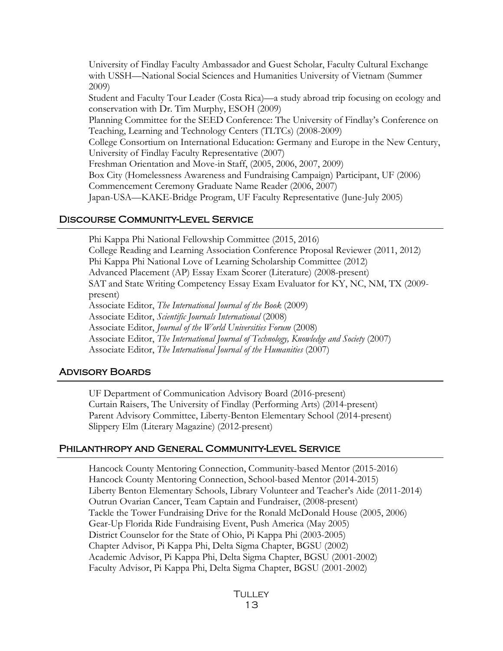University of Findlay Faculty Ambassador and Guest Scholar, Faculty Cultural Exchange with USSH—National Social Sciences and Humanities University of Vietnam (Summer 2009) Student and Faculty Tour Leader (Costa Rica)—a study abroad trip focusing on ecology and conservation with Dr. Tim Murphy, ESOH (2009) Planning Committee for the SEED Conference: The University of Findlay's Conference on Teaching, Learning and Technology Centers (TLTCs) (2008-2009) College Consortium on International Education: Germany and Europe in the New Century, University of Findlay Faculty Representative (2007) Freshman Orientation and Move-in Staff, (2005, 2006, 2007, 2009) Box City (Homelessness Awareness and Fundraising Campaign) Participant, UF (2006) Commencement Ceremony Graduate Name Reader (2006, 2007) Japan-USA—KAKE-Bridge Program, UF Faculty Representative (June-July 2005)

### Discourse Community-Level Service

Phi Kappa Phi National Fellowship Committee (2015, 2016) College Reading and Learning Association Conference Proposal Reviewer (2011, 2012) Phi Kappa Phi National Love of Learning Scholarship Committee (2012) Advanced Placement (AP) Essay Exam Scorer (Literature) (2008-present) SAT and State Writing Competency Essay Exam Evaluator for KY, NC, NM, TX (2009 present) Associate Editor, *The International Journal of the Book* (2009) Associate Editor, *Scientific Journals International* (2008) Associate Editor, *Journal of the World Universities Forum* (2008) Associate Editor, *The International Journal of Technology, Knowledge and Society* (2007) Associate Editor, *The International Journal of the Humanities* (2007)

### Advisory Boards

j

 UF Department of Communication Advisory Board (2016-present) Curtain Raisers, The University of Findlay (Performing Arts) (2014-present) Parent Advisory Committee, Liberty-Benton Elementary School (2014-present) Slippery Elm (Literary Magazine) (2012-present)

### Philanthropy and General Community-Level Service

Hancock County Mentoring Connection, Community-based Mentor (2015-2016) Hancock County Mentoring Connection, School-based Mentor (2014-2015) Liberty Benton Elementary Schools, Library Volunteer and Teacher's Aide (2011-2014) Outrun Ovarian Cancer, Team Captain and Fundraiser, (2008-present) Tackle the Tower Fundraising Drive for the Ronald McDonald House (2005, 2006) Gear-Up Florida Ride Fundraising Event, Push America (May 2005) District Counselor for the State of Ohio, Pi Kappa Phi (2003-2005) Chapter Advisor, Pi Kappa Phi, Delta Sigma Chapter, BGSU (2002) Academic Advisor, Pi Kappa Phi, Delta Sigma Chapter, BGSU (2001-2002) Faculty Advisor, Pi Kappa Phi, Delta Sigma Chapter, BGSU (2001-2002)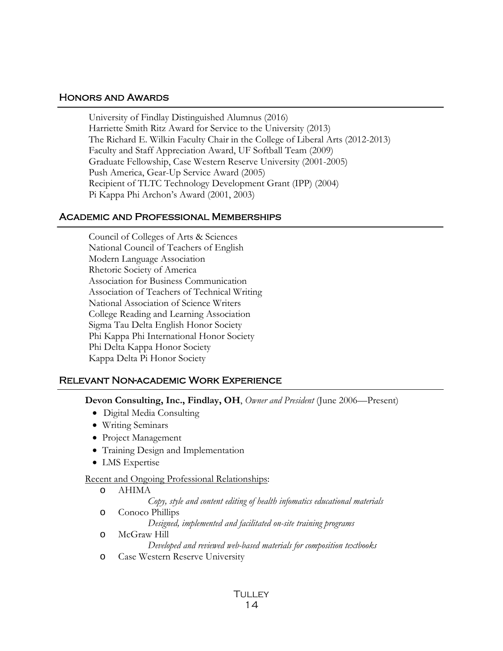#### Honors and Awards

University of Findlay Distinguished Alumnus (2016) Harriette Smith Ritz Award for Service to the University (2013) The Richard E. Wilkin Faculty Chair in the College of Liberal Arts (2012-2013) Faculty and Staff Appreciation Award, UF Softball Team (2009) Graduate Fellowship, Case Western Reserve University (2001-2005) Push America, Gear-Up Service Award (2005) Recipient of TLTC Technology Development Grant (IPP) (2004) Pi Kappa Phi Archon's Award (2001, 2003)

### Academic and Professional Memberships

Council of Colleges of Arts & Sciences National Council of Teachers of English Modern Language Association Rhetoric Society of America Association for Business Communication Association of Teachers of Technical Writing National Association of Science Writers College Reading and Learning Association Sigma Tau Delta English Honor Society Phi Kappa Phi International Honor Society Phi Delta Kappa Honor Society Kappa Delta Pi Honor Society

## Relevant Non-academic Work Experience

**Devon Consulting, Inc., Findlay, OH**, *Owner and President* (June 2006—Present)

- Digital Media Consulting
- Writing Seminars
- Project Management
- Training Design and Implementation
- LMS Expertise

#### Recent and Ongoing Professional Relationships:

o AHIMA

*Copy, style and content editing of health infomatics educational materials*

- o Conoco Phillips
	- *Designed, implemented and facilitated on-site training programs*
- o McGraw Hill *Developed and reviewed web-based materials for composition textbooks*
- o Case Western Reserve University